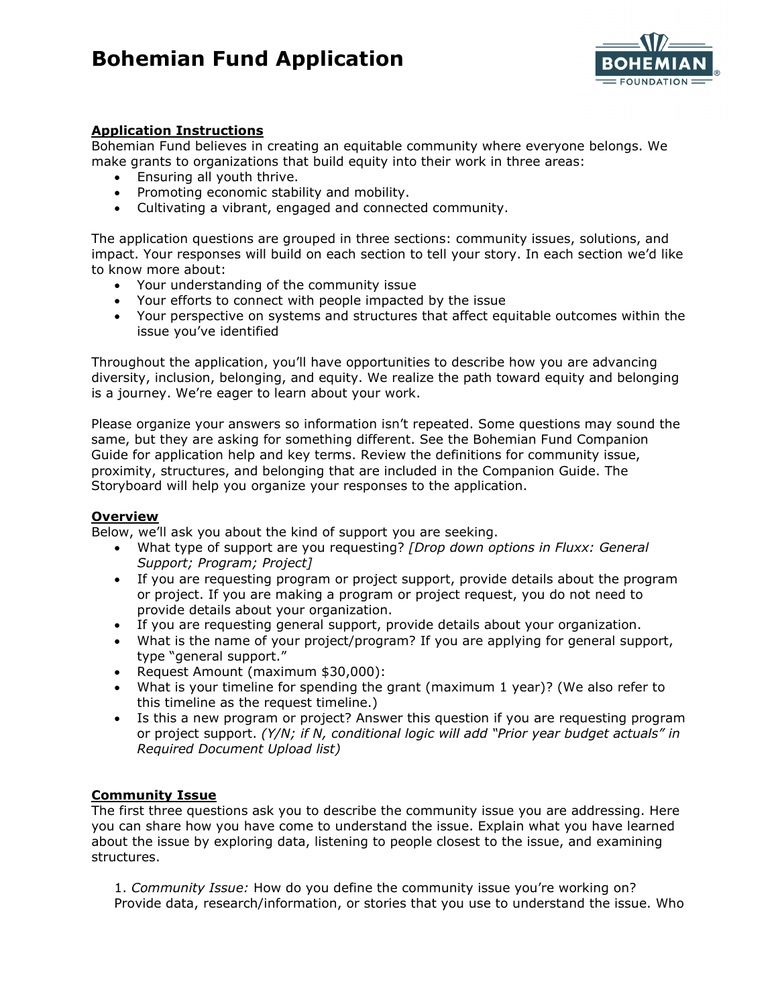# **Bohemian Fund Application**



## **Application Instructions**

Bohemian Fund believes in creating an equitable community where everyone belongs. We make grants to organizations that build equity into their work in three areas:

- Ensuring all youth thrive.
- Promoting economic stability and mobility.
- Cultivating a vibrant, engaged and connected community.

The application questions are grouped in three sections: community issues, solutions, and impact. Your responses will build on each section to tell your story. In each section we'd like to know more about:

- Your understanding of the community issue
- Your efforts to connect with people impacted by the issue
- Your perspective on systems and structures that affect equitable outcomes within the issue you've identified

Throughout the application, you'll have opportunities to describe how you are advancing diversity, inclusion, belonging, and equity. We realize the path toward equity and belonging is a journey. We're eager to learn about your work.

Please organize your answers so information isn't repeated. Some questions may sound the same, but they are asking for something different. See the Bohemian Fund Companion Guide for application help and key terms. Review the definitions for community issue, proximity, structures, and belonging that are included in the Companion Guide. The Storyboard will help you organize your responses to the application.

#### **Overview**

Below, we'll ask you about the kind of support you are seeking.

- What type of support are you requesting? *[Drop down options in Fluxx: General Support; Program; Project]*
- If you are requesting program or project support, provide details about the program or project. If you are making a program or project request, you do not need to provide details about your organization.
- If you are requesting general support, provide details about your organization.
- What is the name of your project/program? If you are applying for general support, type "general support."
- Request Amount (maximum \$30,000):
- What is your timeline for spending the grant (maximum 1 year)? (We also refer to this timeline as the request timeline.)
- Is this a new program or project? Answer this question if you are requesting program or project support. *(Y/N; if N, conditional logic will add "Prior year budget actuals" in Required Document Upload list)*

## **Community Issue**

The first three questions ask you to describe the community issue you are addressing. Here you can share how you have come to understand the issue. Explain what you have learned about the issue by exploring data, listening to people closest to the issue, and examining structures.

1. *Community Issue:* How do you define the community issue you're working on? Provide data, research/information, or stories that you use to understand the issue. Who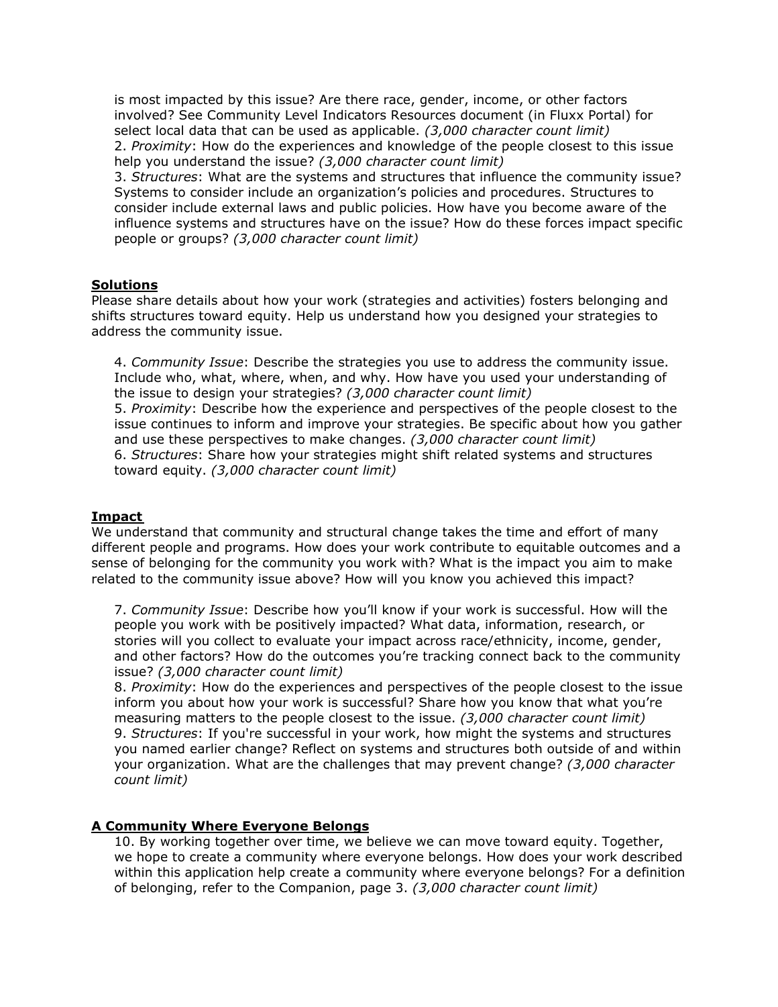is most impacted by this issue? Are there race, gender, income, or other factors involved? See Community Level Indicators Resources document (in Fluxx Portal) for select local data that can be used as applicable. *(3,000 character count limit)* 2. *Proximity*: How do the experiences and knowledge of the people closest to this issue help you understand the issue? *(3,000 character count limit)*

3. *Structures*: What are the systems and structures that influence the community issue? Systems to consider include an organization's policies and procedures. Structures to consider include external laws and public policies. How have you become aware of the influence systems and structures have on the issue? How do these forces impact specific people or groups? *(3,000 character count limit)*

#### **Solutions**

Please share details about how your work (strategies and activities) fosters belonging and shifts structures toward equity. Help us understand how you designed your strategies to address the community issue.

4. *Community Issue*: Describe the strategies you use to address the community issue. Include who, what, where, when, and why. How have you used your understanding of the issue to design your strategies? *(3,000 character count limit)*

5. *Proximity*: Describe how the experience and perspectives of the people closest to the issue continues to inform and improve your strategies. Be specific about how you gather and use these perspectives to make changes. *(3,000 character count limit)* 6. *Structures*: Share how your strategies might shift related systems and structures toward equity. *(3,000 character count limit)*

#### **Impact**

We understand that community and structural change takes the time and effort of many different people and programs. How does your work contribute to equitable outcomes and a sense of belonging for the community you work with? What is the impact you aim to make related to the community issue above? How will you know you achieved this impact?

7. *Community Issue*: Describe how you'll know if your work is successful. How will the people you work with be positively impacted? What data, information, research, or stories will you collect to evaluate your impact across race/ethnicity, income, gender, and other factors? How do the outcomes you're tracking connect back to the community issue? *(3,000 character count limit)*

8. *Proximity*: How do the experiences and perspectives of the people closest to the issue inform you about how your work is successful? Share how you know that what you're measuring matters to the people closest to the issue. *(3,000 character count limit)* 9. *Structures*: If you're successful in your work, how might the systems and structures you named earlier change? Reflect on systems and structures both outside of and within your organization. What are the challenges that may prevent change? *(3,000 character count limit)*

#### **A Community Where Everyone Belongs**

10. By working together over time, we believe we can move toward equity. Together, we hope to create a community where everyone belongs. How does your work described within this application help create a community where everyone belongs? For a definition of belonging, refer to the Companion, page 3. *(3,000 character count limit)*